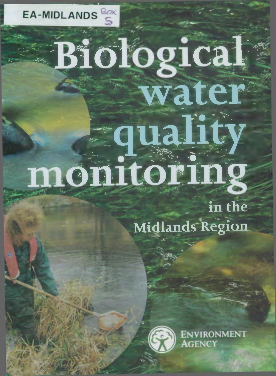

# **Biological water q u a l i t y m on itoring**

in the Midlands Region



**ENVIRONMENT GENCY**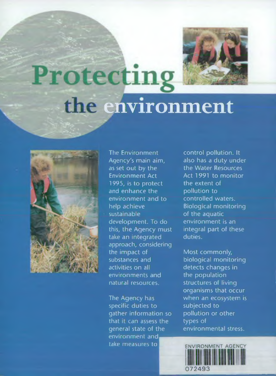

### Protecting **environment**



The Environment Agency's main aim, as set out by the Environment Act 1995, is to protect and enhance the environment and to help achieve sustainable development. To do this, the Agency must take an integrated approach, considering the impact of substances and activities on all environments and natural resources.

The Agency has specific duties to gather information so that it can assess the general state of the environment and take measures to

control pollution. It also has a duty under the Water Resources Act 1991 to monitor the extent of pollution to controlled waters. Biological monitoring of the aquatic environment is an integral part of these duties.

Most commonly, biological monitoring detects changes in the population structures of living organisms that occur when an ecosystem is subjected to pollution or other types of environmental stress.

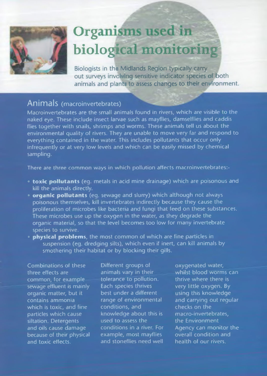

### Organisms used in **biological monitoring**

Biologists in the Midlands Region typically carry out surveys involving sensitive indicator species of both animals and plants to assess changes to their environment.

#### Animals (macroinvertebrates) \_\_\_\_\_

Macroinvertebrates are the small animals found in rivers, which are visible to the naked eye. These include insect larvae such as mayflies, damselflies and caddis flies together with snails, shrimps and worms. These animals tell us about the environmental quality of rivers. They are unable to move very far and respond to everything contained in the water. This includes pollutants that occur only infrequently or at very low levels and which can be easily missed by chemical sampling.

There are three common ways in which pollution affects macroinvertebrates:-

- **toxic pollutants** (eg. metals in acid mine drainage) which are poisonous and kill the animals directly.
- **organic pollutants** (eg. sewage and slurry) which although not always poisonous themselves, kill invertebrates indirectly because they cause the proliferation of microbes like bacteria and fungi that feed on these substances. These microbes use up the oxygen in the water, as they degrade the organic material, so that the level becomes too low for many invertebrate species to survive.
- **physical problems**, the most common of which are fine particles in suspension (eg. dredging silts), which even if inert, can kill animals by smothering their habitat or by blocking their gills.

Combinations of these three effects are common, for example sewage effluent is mainly organic matter, but it contains ammonia which is toxic, and fine particles which cause siltation. Detergents and oils cause damage because of their physical and toxic effects.

animals vary in their whilst-blood worms of animals vary in their whilst blood worms of animals where the stat<br>calerance to pollution. The thirt where there is tolerance to pollution.<br>Each species thrives best under a different<br>range of environmental conditions, and checks on the<br>knowledge about this is macro-invertebrates. knowledge about this is used to assess the example, most mayflies overall condition and stoneflies need well below heat four rivers. and stoneflies need well

Different groups of oxygenated water,<br>
animals vary in their whilst-blood worms can very little oxygen. By<br>using this knowledge and carrying out regular<br>checks on the the Environment conditions in a river. For Agency can monitor the<br>example. most mavilies overall condition and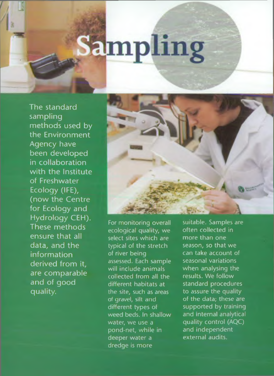# **Sampling**

The standard sampling methods used by the Environment Agency have been developed in collaboration with the Institute of Freshwater Ecology (IFE), (now the Centre for Ecology and Hydrology CEH). These methods ensure that all data, and the information derived from it, are comparable and of good quality.



For monitoring overall ecological quality, we select sites which are typical of the stretch of river being assessed. Each sample will include animals collected from all the different habitats at the site, such as areas of gravel, silt and different types of weed beds. In shallow water, we use a pond-net, while in deeper water a dredge is more

suitable. Samples are often collected in more than one season, so that we can take account of seasonal variations when analysing the results. We follow standard procedures to assure the quality of the data; these are supported by training and internal analytical quality control (AQC) and independent external audits.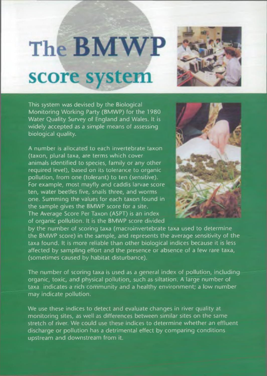### The **BMWP** score system



This system was devised by the Biological Monitoring Working Party (BMWP) for the 1980 Water Quality Survey of England and Wales. It is widely accepted as a simple means of assessing biological quality.

A number is allocated to each invertebrate taxon (taxon, plural taxa, are terms which cover animals identified to species, family or any other required level), based on its tolerance to organic pollution, from one (tolerant) to ten (sensitive). For example, most mayfly and caddis larvae score ten, water beetles five, snails three, and worms one. Summing the values for each taxon found in *'* the sample gives the BMWP score for a site. The Average Score Per Taxon (ASPT) is an index of organic pollution. It is the BMWP score divided



by the number of scoring taxa (macroinvertebrate taxa used to determine the BMWP score) in the sample, and represents the average sensitivity of the taxa found. It is more reliable than other biological indices because it is less affected by sampling effort and the presence or absence of a few rare taxa, (sometimes caused by habitat disturbance).

The number of scoring taxa is used as a general index of pollution, including organic, toxic, and physical pollution, such as siltation. A large number of taxa indicates a rich community and a healthy environment; a low number may indicate pollution.

We use these indices to detect and evaluate changes in river quality at monitoring sites, as well as differences between similar sites on the same stretch of river. We could use these indices to determine whether an effluent discharge or pollution has a detrimental effect by comparing conditions upstream and downstream from it.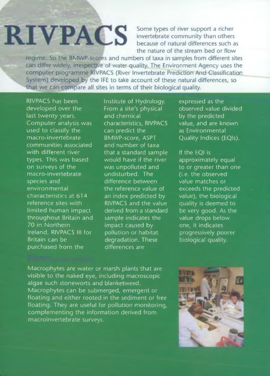## **RIVPACS**

Some types of river support a richer invertebrate community than others because of natural differences such as the nature of the stream bed or flow

regime So the BMWP-scores and numbers of taxa in samples from different sites can differ widely, irrespective of water quality. The Environment Agency uses the computer programme RIVPACS (River Invertebrate Prediction And Classification System) developed by the IFE to take account of these natural differences, so that we can compare all sites in terms of their biological quality.

RIVPACS has been developed over the last twenty years. Computer analysis was used to classify the macro-invertebrate communities associated with different river types. This was based on surveys of the macro-invertebrate species and environmental characteristics at 614 reference sites with limited human impact throughout Britain and 70 in Northern Ireland. RIVPACS III for Britain can be purchased from the

Institute of Hydrology. From a site's physical and chemical characteristics, RIVPACS can predict the BMWP-score, ASPT and number of taxa that a standard sample would have if the river was unpolluted and undisturbed. The difference between the reference value of an index predicted by RIVPACS and the value derived from a standard sample indicates the impact caused by pollution or habitat degradation. These differences are

expressed as the observed value divided by the predicted value, and are known as Environmental Quality Indices (EQIs).

If the EQI is approximately equal to or greater than one (i.e. the observed value matches or exceeds the predicted value), the biological quality is deemed to be very good. As the value drops below one, it indicates progressively poorer biological quality.

Macrophytes are water or marsh plants that are visible to the naked eye, including macroscopic algae such stoneworts and blanketweed. Macrophytes can be submerged, emergent or floating and either rooted in the sediment or free floating. They are useful for pollution monitoring, complementing the information derived from macroinvertebrate surveys.

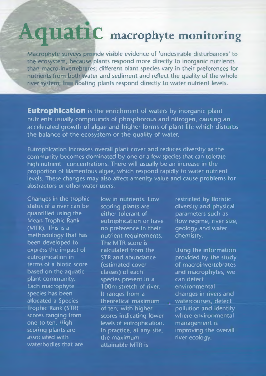### **Aquatic macrophyte monitoring**

Macrophyte surveys provide visible evidence of 'undesirable disturbances' to the ecosystem, because plants respond more directly to inorganic nutrients than macro-invertebrates; different plant species vary in their preferences for nutrients from both water and sediment and reflect the quality of the whole river system; In floating plants respond directly to water nutrient levels.

**Eutrophication** is the enrichment of waters by inorganic plant nutrients usually compounds of phosphorous and nitrogen, causing an accelerated growth of algae and higher forms of plant life which disturbs the balance of the ecosystem or the quality of water.

Eutrophication increases overall plant cover and reduces diversity as the community becomes dominated by one or a few species that can tolerate high nutrient concentrations. There will usually be an increase in the proportion of filamentous algae, which respond rapidly to water nutrient levels. These changes may also affect amenity value and cause problems for abstractors or other water users.

Changes in the trophic status of a river can be quantified using the Mean Trophic Rank (MTR). This is a methodology that has been developed to express the impact of eutrophication in terms of a biotic score based on the aquatic plant community. Each macrophyte species has been allocated a Species Trophic Rank (STR) scores ranging from one to ten. High scoring plants are associated with waterbodies that are

low in nutrients. Low scoring plants are either tolerant of eutrophication or have no preference in their nutrient requirements. The MTR score is calculated from the STR and abundance (estimated cover classes) of each species present in a 100m stretch of river. It ranges from a theoretical maximum of ten, with higher scores indicating lower levels of eutrophication. In practice, at any site, the maximum attainable MTR is

restricted by floristic diversity and physical parameters such as flow regime, river size, geology and water chemistry.

Using the information provided by the study of macroinvertebrates and macrophytes, we can detect environmental changes in rivers and watercourses, detect pollution and identify where environmental management is improving the overall river ecology.